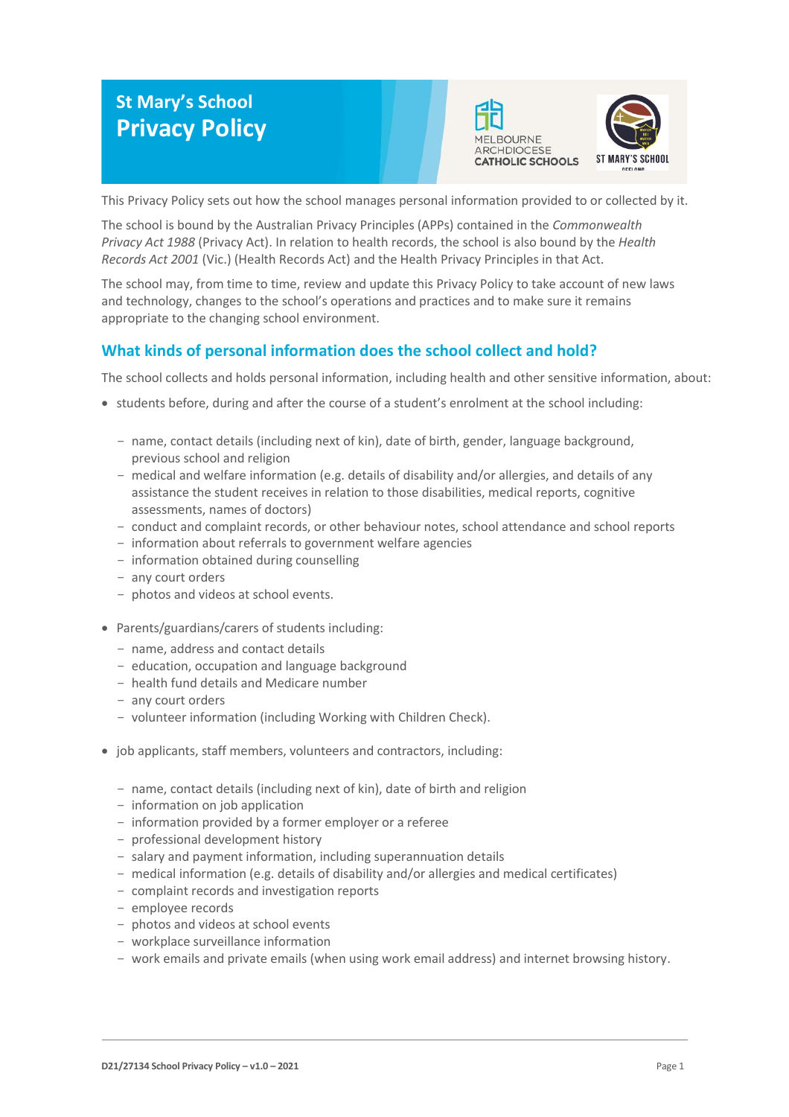# **St Mary's School Privacy Policy**





This Privacy Policy sets out how the school manages personal information provided to or collected by it.

The school is bound by the Australian Privacy Principles (APPs) contained in the *Commonwealth Privacy Act 1988* (Privacy Act). In relation to health records, the school is also bound by the *Health Records Act 2001* (Vic.) (Health Records Act) and the Health Privacy Principles in that Act.

The school may, from time to time, review and update this Privacy Policy to take account of new laws and technology, changes to the school's operations and practices and to make sure it remains appropriate to the changing school environment.

# **What kinds of personal information does the school collect and hold?**

The school collects and holds personal information, including health and other sensitive information, about:

- students before, during and after the course of a student's enrolment at the school including:
	- name, contact details (including next of kin), date of birth, gender, language background, previous school and religion
	- medical and welfare information (e.g. details of disability and/or allergies, and details of any assistance the student receives in relation to those disabilities, medical reports, cognitive assessments, names of doctors)
	- conduct and complaint records, or other behaviour notes, school attendance and school reports
	- information about referrals to government welfare agencies
	- information obtained during counselling
	- any court orders
	- photos and videos at school events.
- Parents/guardians/carers of students including:
	- name, address and contact details
	- education, occupation and language background
	- health fund details and Medicare number
	- any court orders
	- volunteer information (including Working with Children Check).
- job applicants, staff members, volunteers and contractors, including:
	- name, contact details (including next of kin), date of birth and religion
	- information on job application
	- information provided by a former employer or a referee
	- professional development history
	- salary and payment information, including superannuation details
	- medical information (e.g. details of disability and/or allergies and medical certificates)
	- complaint records and investigation reports
	- employee records
	- photos and videos at school events
	- workplace surveillance information
	- work emails and private emails (when using work email address) and internet browsing history.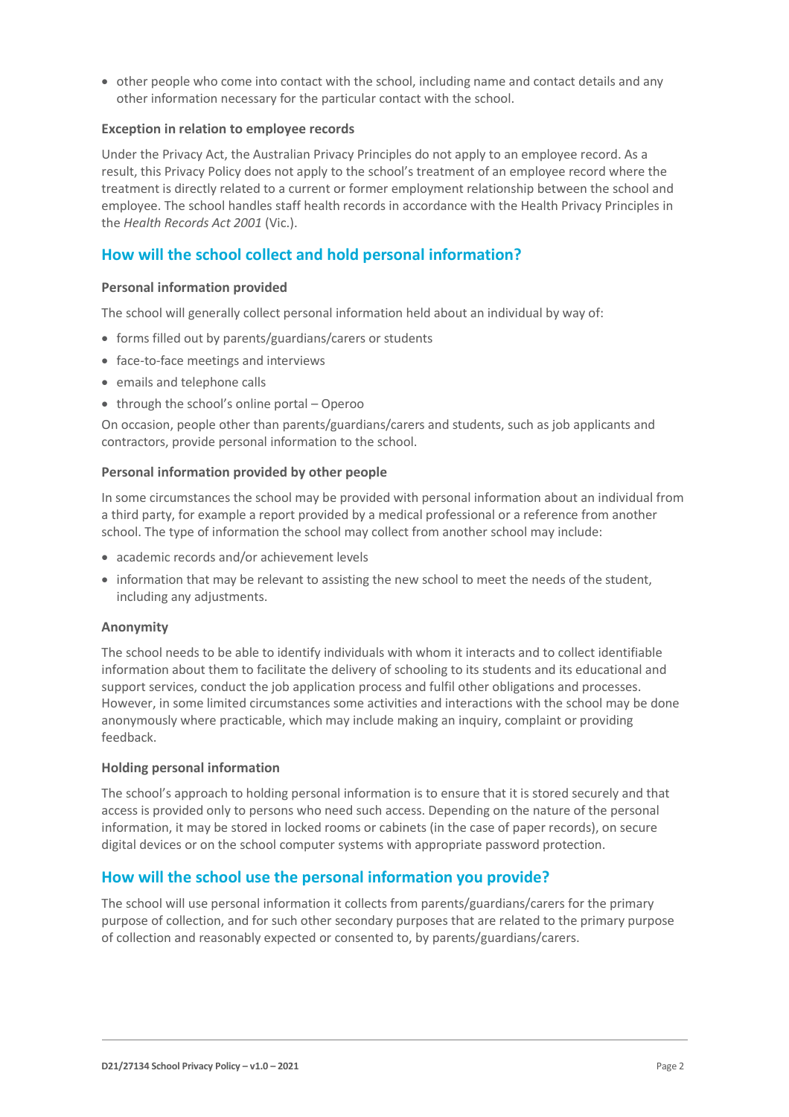• other people who come into contact with the school, including name and contact details and any other information necessary for the particular contact with the school.

#### **Exception in relation to employee records**

Under the Privacy Act, the Australian Privacy Principles do not apply to an employee record. As a result, this Privacy Policy does not apply to the school's treatment of an employee record where the treatment is directly related to a current or former employment relationship between the school and employee. The school handles staff health records in accordance with the Health Privacy Principles in the *Health Records Act 2001* (Vic.).

# **How will the school collect and hold personal information?**

#### **Personal information provided**

The school will generally collect personal information held about an individual by way of:

- forms filled out by parents/guardians/carers or students
- face-to-face meetings and interviews
- emails and telephone calls
- through the school's online portal Operoo

On occasion, people other than parents/guardians/carers and students, such as job applicants and contractors, provide personal information to the school.

#### **Personal information provided by other people**

In some circumstances the school may be provided with personal information about an individual from a third party, for example a report provided by a medical professional or a reference from another school. The type of information the school may collect from another school may include:

- academic records and/or achievement levels
- information that may be relevant to assisting the new school to meet the needs of the student, including any adjustments.

#### **Anonymity**

The school needs to be able to identify individuals with whom it interacts and to collect identifiable information about them to facilitate the delivery of schooling to its students and its educational and support services, conduct the job application process and fulfil other obligations and processes. However, in some limited circumstances some activities and interactions with the school may be done anonymously where practicable, which may include making an inquiry, complaint or providing feedback.

#### **Holding personal information**

The school's approach to holding personal information is to ensure that it is stored securely and that access is provided only to persons who need such access. Depending on the nature of the personal information, it may be stored in locked rooms or cabinets (in the case of paper records), on secure digital devices or on the school computer systems with appropriate password protection.

## **How will the school use the personal information you provide?**

The school will use personal information it collects from parents/guardians/carers for the primary purpose of collection, and for such other secondary purposes that are related to the primary purpose of collection and reasonably expected or consented to, by parents/guardians/carers.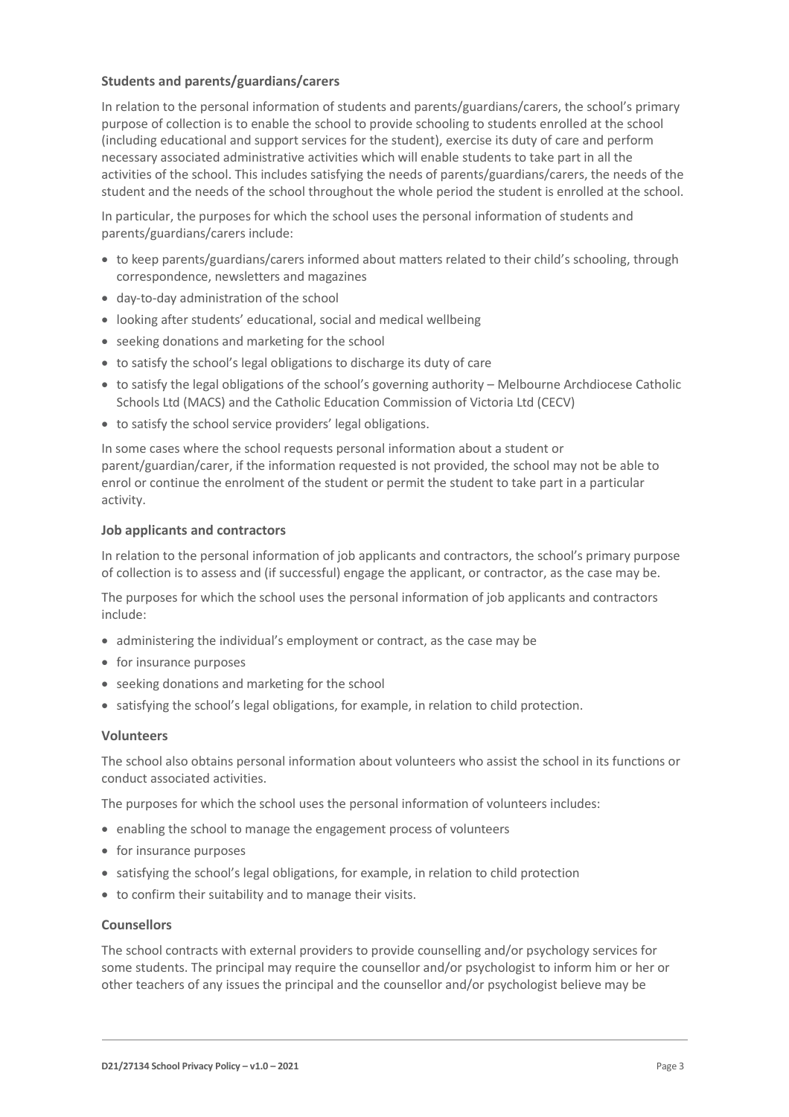#### **Students and parents/guardians/carers**

In relation to the personal information of students and parents/guardians/carers, the school's primary purpose of collection is to enable the school to provide schooling to students enrolled at the school (including educational and support services for the student), exercise its duty of care and perform necessary associated administrative activities which will enable students to take part in all the activities of the school. This includes satisfying the needs of parents/guardians/carers, the needs of the student and the needs of the school throughout the whole period the student is enrolled at the school.

In particular, the purposes for which the school uses the personal information of students and parents/guardians/carers include:

- to keep parents/guardians/carers informed about matters related to their child's schooling, through correspondence, newsletters and magazines
- day-to-day administration of the school
- looking after students' educational, social and medical wellbeing
- seeking donations and marketing for the school
- to satisfy the school's legal obligations to discharge its duty of care
- to satisfy the legal obligations of the school's governing authority Melbourne Archdiocese Catholic Schools Ltd (MACS) and the Catholic Education Commission of Victoria Ltd (CECV)
- to satisfy the school service providers' legal obligations.

In some cases where the school requests personal information about a student or parent/guardian/carer, if the information requested is not provided, the school may not be able to enrol or continue the enrolment of the student or permit the student to take part in a particular activity.

#### **Job applicants and contractors**

In relation to the personal information of job applicants and contractors, the school's primary purpose of collection is to assess and (if successful) engage the applicant, or contractor, as the case may be.

The purposes for which the school uses the personal information of job applicants and contractors include:

- administering the individual's employment or contract, as the case may be
- for insurance purposes
- seeking donations and marketing for the school
- satisfying the school's legal obligations, for example, in relation to child protection.

#### **Volunteers**

The school also obtains personal information about volunteers who assist the school in its functions or conduct associated activities.

The purposes for which the school uses the personal information of volunteers includes:

- enabling the school to manage the engagement process of volunteers
- for insurance purposes
- satisfying the school's legal obligations, for example, in relation to child protection
- to confirm their suitability and to manage their visits.

#### **Counsellors**

The school contracts with external providers to provide counselling and/or psychology services for some students. The principal may require the counsellor and/or psychologist to inform him or her or other teachers of any issues the principal and the counsellor and/or psychologist believe may be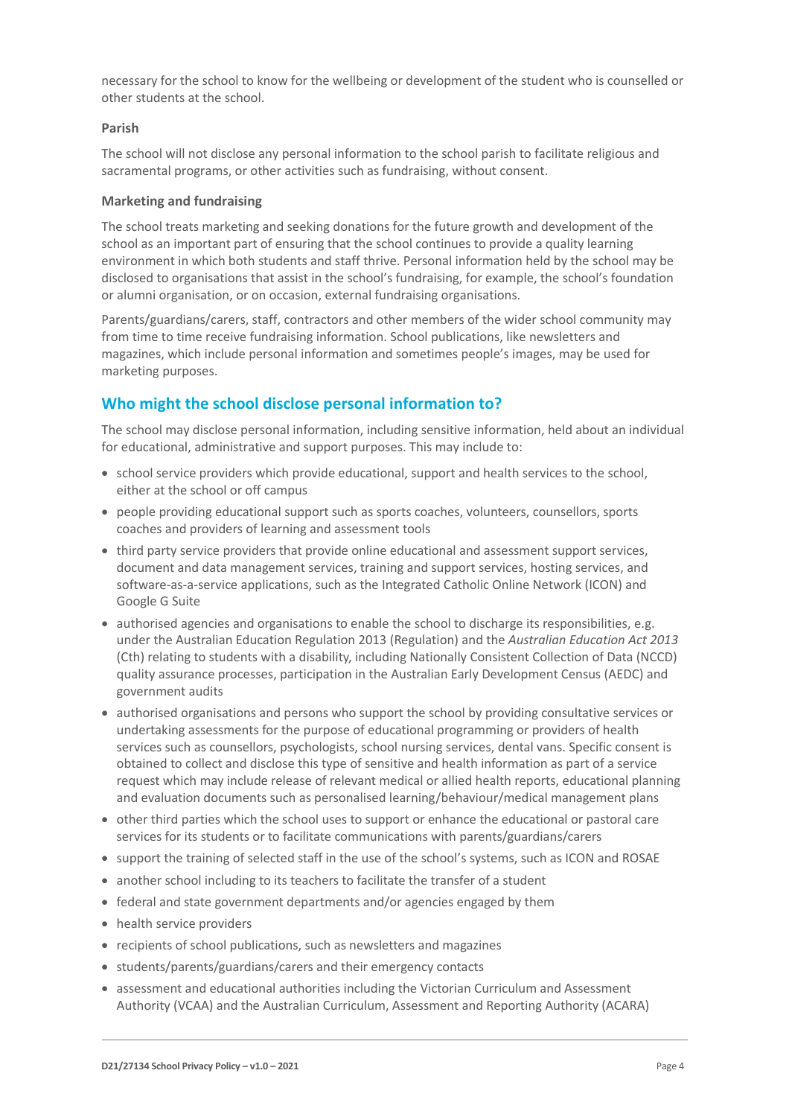necessary for the school to know for the wellbeing or development of the student who is counselled or other students at the school.

#### **Parish**

The school will not disclose any personal information to the school parish to facilitate religious and sacramental programs, or other activities such as fundraising, without consent.

#### **Marketing and fundraising**

The school treats marketing and seeking donations for the future growth and development of the school as an important part of ensuring that the school continues to provide a quality learning environment in which both students and staff thrive. Personal information held by the school may be disclosed to organisations that assist in the school's fundraising, for example, the school's foundation or alumni organisation, or on occasion, external fundraising organisations.

Parents/guardians/carers, staff, contractors and other members of the wider school community may from time to time receive fundraising information. School publications, like newsletters and magazines, which include personal information and sometimes people's images, may be used for marketing purposes.

## **Who might the school disclose personal information to?**

The school may disclose personal information, including sensitive information, held about an individual for educational, administrative and support purposes. This may include to:

- school service providers which provide educational, support and health services to the school, either at the school or off campus
- people providing educational support such as sports coaches, volunteers, counsellors, sports coaches and providers of learning and assessment tools
- third party service providers that provide online educational and assessment support services, document and data management services, training and support services, hosting services, and software-as-a-service applications, such as the Integrated Catholic Online Network (ICON) and Google G Suite
- authorised agencies and organisations to enable the school to discharge its responsibilities, e.g. under the Australian Education Regulation 2013 (Regulation) and the *Australian Education Act 2013* (Cth) relating to students with a disability, including Nationally Consistent Collection of Data (NCCD) quality assurance processes, participation in the Australian Early Development Census (AEDC) and government audits
- authorised organisations and persons who support the school by providing consultative services or undertaking assessments for the purpose of educational programming or providers of health services such as counsellors, psychologists, school nursing services, dental vans. Specific consent is obtained to collect and disclose this type of sensitive and health information as part of a service request which may include release of relevant medical or allied health reports, educational planning and evaluation documents such as personalised learning/behaviour/medical management plans
- other third parties which the school uses to support or enhance the educational or pastoral care services for its students or to facilitate communications with parents/guardians/carers
- support the training of selected staff in the use of the school's systems, such as ICON and ROSAE
- another school including to its teachers to facilitate the transfer of a student
- federal and state government departments and/or agencies engaged by them
- health service providers
- recipients of school publications, such as newsletters and magazines
- students/parents/guardians/carers and their emergency contacts
- assessment and educational authorities including the Victorian Curriculum and Assessment Authority (VCAA) and the Australian Curriculum, Assessment and Reporting Authority (ACARA)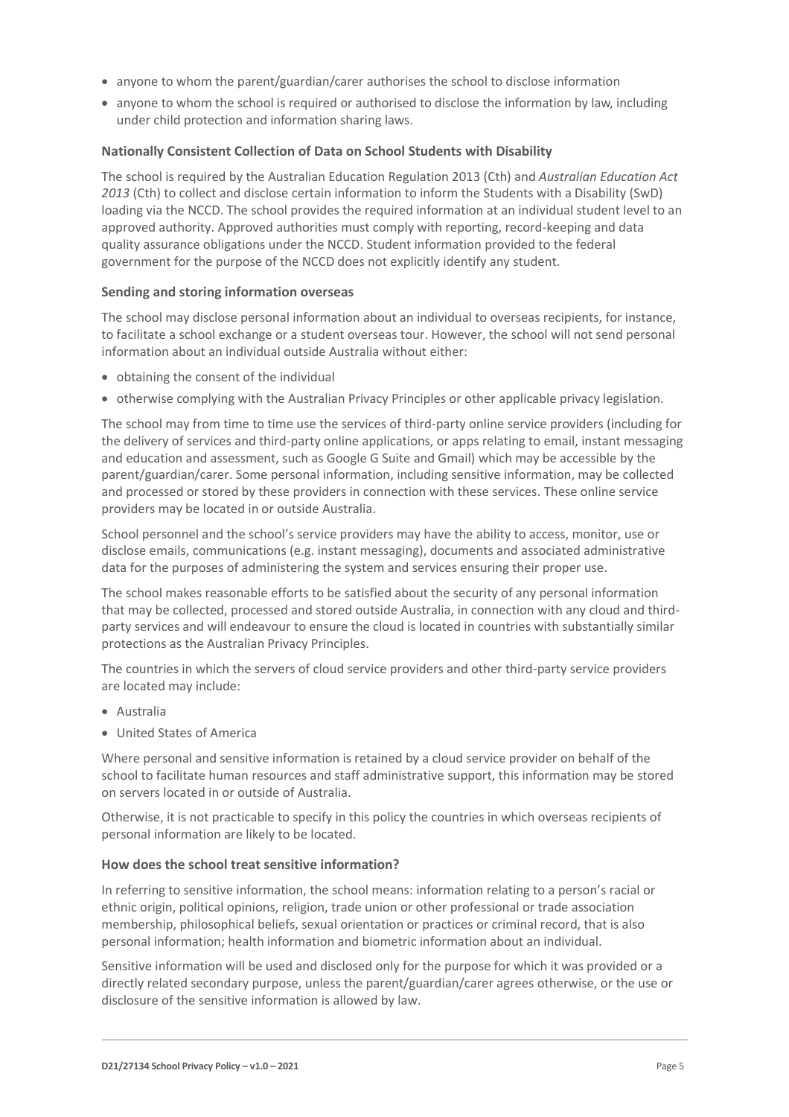- anyone to whom the parent/guardian/carer authorises the school to disclose information
- anyone to whom the school is required or authorised to disclose the information by law, including under child protection and information sharing laws.

#### **Nationally Consistent Collection of Data on School Students with Disability**

The school is required by the Australian Education Regulation 2013 (Cth) and *Australian Education Act 2013* (Cth) to collect and disclose certain information to inform the Students with a Disability (SwD) loading via the NCCD. The school provides the required information at an individual student level to an approved authority. Approved authorities must comply with reporting, record-keeping and data quality assurance obligations under the NCCD. Student information provided to the federal government for the purpose of the NCCD does not explicitly identify any student.

#### **Sending and storing information overseas**

The school may disclose personal information about an individual to overseas recipients, for instance, to facilitate a school exchange or a student overseas tour. However, the school will not send personal information about an individual outside Australia without either:

- obtaining the consent of the individual
- otherwise complying with the Australian Privacy Principles or other applicable privacy legislation.

The school may from time to time use the services of third-party online service providers (including for the delivery of services and third-party online applications, or apps relating to email, instant messaging and education and assessment, such as Google G Suite and Gmail) which may be accessible by the parent/guardian/carer. Some personal information, including sensitive information, may be collected and processed or stored by these providers in connection with these services. These online service providers may be located in or outside Australia.

School personnel and the school's service providers may have the ability to access, monitor, use or disclose emails, communications (e.g. instant messaging), documents and associated administrative data for the purposes of administering the system and services ensuring their proper use.

The school makes reasonable efforts to be satisfied about the security of any personal information that may be collected, processed and stored outside Australia, in connection with any cloud and thirdparty services and will endeavour to ensure the cloud is located in countries with substantially similar protections as the Australian Privacy Principles.

The countries in which the servers of cloud service providers and other third-party service providers are located may include:

- Australia
- United States of America

Where personal and sensitive information is retained by a cloud service provider on behalf of the school to facilitate human resources and staff administrative support, this information may be stored on servers located in or outside of Australia.

Otherwise, it is not practicable to specify in this policy the countries in which overseas recipients of personal information are likely to be located.

#### **How does the school treat sensitive information?**

In referring to sensitive information, the school means: information relating to a person's racial or ethnic origin, political opinions, religion, trade union or other professional or trade association membership, philosophical beliefs, sexual orientation or practices or criminal record, that is also personal information; health information and biometric information about an individual.

Sensitive information will be used and disclosed only for the purpose for which it was provided or a directly related secondary purpose, unless the parent/guardian/carer agrees otherwise, or the use or disclosure of the sensitive information is allowed by law.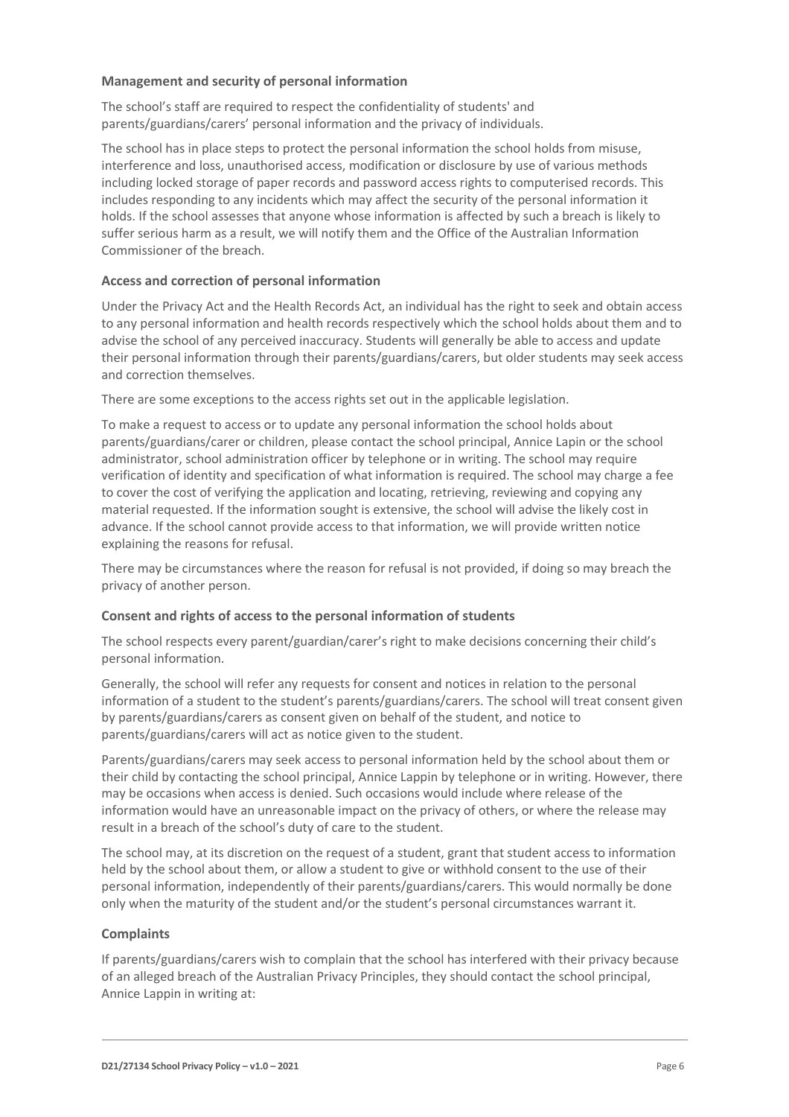#### **Management and security of personal information**

The school's staff are required to respect the confidentiality of students' and parents/guardians/carers' personal information and the privacy of individuals.

The school has in place steps to protect the personal information the school holds from misuse, interference and loss, unauthorised access, modification or disclosure by use of various methods including locked storage of paper records and password access rights to computerised records. This includes responding to any incidents which may affect the security of the personal information it holds. If the school assesses that anyone whose information is affected by such a breach is likely to suffer serious harm as a result, we will notify them and the Office of the Australian Information Commissioner of the breach.

## **Access and correction of personal information**

Under the Privacy Act and the Health Records Act, an individual has the right to seek and obtain access to any personal information and health records respectively which the school holds about them and to advise the school of any perceived inaccuracy. Students will generally be able to access and update their personal information through their parents/guardians/carers, but older students may seek access and correction themselves.

There are some exceptions to the access rights set out in the applicable legislation.

To make a request to access or to update any personal information the school holds about parents/guardians/carer or children, please contact the school principal, Annice Lapin or the school administrator, school administration officer by telephone or in writing. The school may require verification of identity and specification of what information is required. The school may charge a fee to cover the cost of verifying the application and locating, retrieving, reviewing and copying any material requested. If the information sought is extensive, the school will advise the likely cost in advance. If the school cannot provide access to that information, we will provide written notice explaining the reasons for refusal.

There may be circumstances where the reason for refusal is not provided, if doing so may breach the privacy of another person.

#### **Consent and rights of access to the personal information of students**

The school respects every parent/guardian/carer's right to make decisions concerning their child's personal information.

Generally, the school will refer any requests for consent and notices in relation to the personal information of a student to the student's parents/guardians/carers. The school will treat consent given by parents/guardians/carers as consent given on behalf of the student, and notice to parents/guardians/carers will act as notice given to the student.

Parents/guardians/carers may seek access to personal information held by the school about them or their child by contacting the school principal, Annice Lappin by telephone or in writing. However, there may be occasions when access is denied. Such occasions would include where release of the information would have an unreasonable impact on the privacy of others, or where the release may result in a breach of the school's duty of care to the student.

The school may, at its discretion on the request of a student, grant that student access to information held by the school about them, or allow a student to give or withhold consent to the use of their personal information, independently of their parents/guardians/carers. This would normally be done only when the maturity of the student and/or the student's personal circumstances warrant it.

#### **Complaints**

If parents/guardians/carers wish to complain that the school has interfered with their privacy because of an alleged breach of the Australian Privacy Principles, they should contact the school principal, Annice Lappin in writing at: